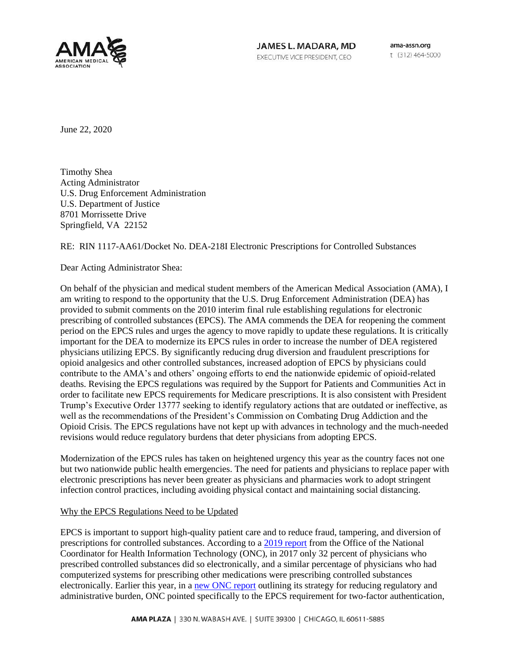

JAMES L. MADARA, MD EXECUTIVE VICE PRESIDENT, CEO

ama-assn.org t (312) 464-5000

June 22, 2020

Timothy Shea Acting Administrator U.S. Drug Enforcement Administration U.S. Department of Justice 8701 Morrissette Drive Springfield, VA 22152

### RE: RIN 1117-AA61/Docket No. DEA-218I Electronic Prescriptions for Controlled Substances

Dear Acting Administrator Shea:

On behalf of the physician and medical student members of the American Medical Association (AMA), I am writing to respond to the opportunity that the U.S. Drug Enforcement Administration (DEA) has provided to submit comments on the 2010 interim final rule establishing regulations for electronic prescribing of controlled substances (EPCS). The AMA commends the DEA for reopening the comment period on the EPCS rules and urges the agency to move rapidly to update these regulations. It is critically important for the DEA to modernize its EPCS rules in order to increase the number of DEA registered physicians utilizing EPCS. By significantly reducing drug diversion and fraudulent prescriptions for opioid analgesics and other controlled substances, increased adoption of EPCS by physicians could contribute to the AMA's and others' ongoing efforts to end the nationwide epidemic of opioid-related deaths. Revising the EPCS regulations was required by the Support for Patients and Communities Act in order to facilitate new EPCS requirements for Medicare prescriptions. It is also consistent with President Trump's Executive Order 13777 seeking to identify regulatory actions that are outdated or ineffective, as well as the recommendations of the President's Commission on Combating Drug Addiction and the Opioid Crisis. The EPCS regulations have not kept up with advances in technology and the much-needed revisions would reduce regulatory burdens that deter physicians from adopting EPCS.

Modernization of the EPCS rules has taken on heightened urgency this year as the country faces not one but two nationwide public health emergencies. The need for patients and physicians to replace paper with electronic prescriptions has never been greater as physicians and pharmacies work to adopt stringent infection control practices, including avoiding physical contact and maintaining social distancing.

#### Why the EPCS Regulations Need to be Updated

EPCS is important to support high-quality patient care and to reduce fraud, tampering, and diversion of prescriptions for controlled substances. According to a [2019 report](https://www.healthit.gov/sites/default/files/page/2019-09/officebasedphysicianelectronicprescribingofcontrolledsubstance2017.pdf) from the Office of the National Coordinator for Health Information Technology (ONC), in 2017 only 32 percent of physicians who prescribed controlled substances did so electronically, and a similar percentage of physicians who had computerized systems for prescribing other medications were prescribing controlled substances electronically. Earlier this year, in a [new ONC report](https://www.healthit.gov/sites/default/files/page/2020-02/BurdenReport_0.pdf) outlining its strategy for reducing regulatory and administrative burden, ONC pointed specifically to the EPCS requirement for two-factor authentication,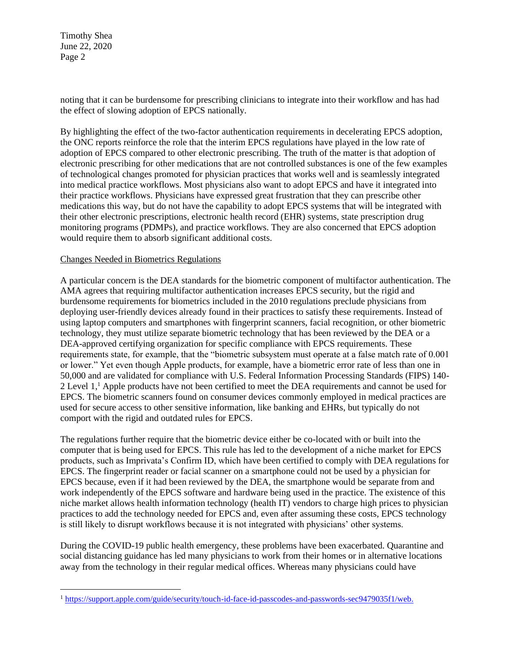Timothy Shea June 22, 2020 Page 2

noting that it can be burdensome for prescribing clinicians to integrate into their workflow and has had the effect of slowing adoption of EPCS nationally.

By highlighting the effect of the two-factor authentication requirements in decelerating EPCS adoption, the ONC reports reinforce the role that the interim EPCS regulations have played in the low rate of adoption of EPCS compared to other electronic prescribing. The truth of the matter is that adoption of electronic prescribing for other medications that are not controlled substances is one of the few examples of technological changes promoted for physician practices that works well and is seamlessly integrated into medical practice workflows. Most physicians also want to adopt EPCS and have it integrated into their practice workflows. Physicians have expressed great frustration that they can prescribe other medications this way, but do not have the capability to adopt EPCS systems that will be integrated with their other electronic prescriptions, electronic health record (EHR) systems, state prescription drug monitoring programs (PDMPs), and practice workflows. They are also concerned that EPCS adoption would require them to absorb significant additional costs.

#### Changes Needed in Biometrics Regulations

A particular concern is the DEA standards for the biometric component of multifactor authentication. The AMA agrees that requiring multifactor authentication increases EPCS security, but the rigid and burdensome requirements for biometrics included in the 2010 regulations preclude physicians from deploying user-friendly devices already found in their practices to satisfy these requirements. Instead of using laptop computers and smartphones with fingerprint scanners, facial recognition, or other biometric technology, they must utilize separate biometric technology that has been reviewed by the DEA or a DEA-approved certifying organization for specific compliance with EPCS requirements. These requirements state, for example, that the "biometric subsystem must operate at a false match rate of 0.001 or lower." Yet even though Apple products, for example, have a biometric error rate of less than one in 50,000 and are validated for compliance with U.S. Federal Information Processing Standards (FIPS) 140- 2 Level 1,<sup>1</sup> Apple products have not been certified to meet the DEA requirements and cannot be used for EPCS. The biometric scanners found on consumer devices commonly employed in medical practices are used for secure access to other sensitive information, like banking and EHRs, but typically do not comport with the rigid and outdated rules for EPCS.

The regulations further require that the biometric device either be co-located with or built into the computer that is being used for EPCS. This rule has led to the development of a niche market for EPCS products, such as Imprivata's Confirm ID, which have been certified to comply with DEA regulations for EPCS. The fingerprint reader or facial scanner on a smartphone could not be used by a physician for EPCS because, even if it had been reviewed by the DEA, the smartphone would be separate from and work independently of the EPCS software and hardware being used in the practice. The existence of this niche market allows health information technology (health IT) vendors to charge high prices to physician practices to add the technology needed for EPCS and, even after assuming these costs, EPCS technology is still likely to disrupt workflows because it is not integrated with physicians' other systems.

During the COVID-19 public health emergency, these problems have been exacerbated. Quarantine and social distancing guidance has led many physicians to work from their homes or in alternative locations away from the technology in their regular medical offices. Whereas many physicians could have

<sup>1</sup> [https://support.apple.com/guide/security/touch-id-face-id-passcodes-and-passwords-sec9479035f1/web.](https://support.apple.com/guide/security/touch-id-face-id-passcodes-and-passwords-sec9479035f1/web)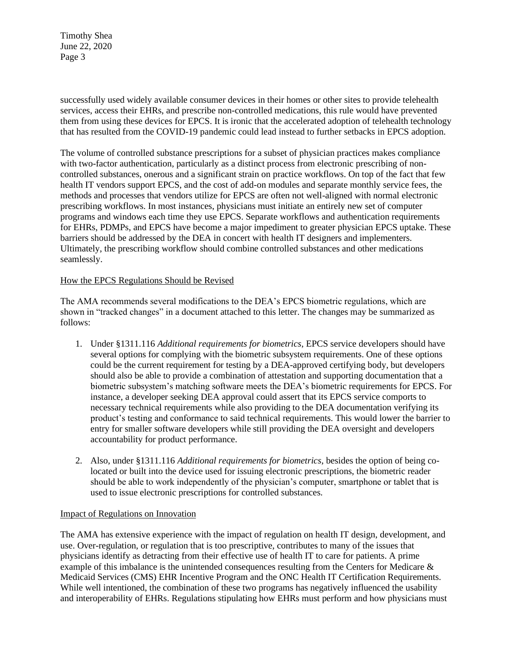Timothy Shea June 22, 2020 Page 3

successfully used widely available consumer devices in their homes or other sites to provide telehealth services, access their EHRs, and prescribe non-controlled medications, this rule would have prevented them from using these devices for EPCS. It is ironic that the accelerated adoption of telehealth technology that has resulted from the COVID-19 pandemic could lead instead to further setbacks in EPCS adoption.

The volume of controlled substance prescriptions for a subset of physician practices makes compliance with two-factor authentication, particularly as a distinct process from electronic prescribing of noncontrolled substances, onerous and a significant strain on practice workflows. On top of the fact that few health IT vendors support EPCS, and the cost of add-on modules and separate monthly service fees, the methods and processes that vendors utilize for EPCS are often not well-aligned with normal electronic prescribing workflows. In most instances, physicians must initiate an entirely new set of computer programs and windows each time they use EPCS. Separate workflows and authentication requirements for EHRs, PDMPs, and EPCS have become a major impediment to greater physician EPCS uptake. These barriers should be addressed by the DEA in concert with health IT designers and implementers. Ultimately, the prescribing workflow should combine controlled substances and other medications seamlessly.

### How the EPCS Regulations Should be Revised

The AMA recommends several modifications to the DEA's EPCS biometric regulations, which are shown in "tracked changes" in a document attached to this letter. The changes may be summarized as follows:

- 1. Under §1311.116 *Additional requirements for biometrics*, EPCS service developers should have several options for complying with the biometric subsystem requirements. One of these options could be the current requirement for testing by a DEA-approved certifying body, but developers should also be able to provide a combination of attestation and supporting documentation that a biometric subsystem's matching software meets the DEA's biometric requirements for EPCS. For instance, a developer seeking DEA approval could assert that its EPCS service comports to necessary technical requirements while also providing to the DEA documentation verifying its product's testing and conformance to said technical requirements. This would lower the barrier to entry for smaller software developers while still providing the DEA oversight and developers accountability for product performance.
- 2. Also, under §1311.116 *Additional requirements for biometrics*, besides the option of being colocated or built into the device used for issuing electronic prescriptions, the biometric reader should be able to work independently of the physician's computer, smartphone or tablet that is used to issue electronic prescriptions for controlled substances.

### Impact of Regulations on Innovation

The AMA has extensive experience with the impact of regulation on health IT design, development, and use. Over-regulation, or regulation that is too prescriptive, contributes to many of the issues that physicians identify as detracting from their effective use of health IT to care for patients. A prime example of this imbalance is the unintended consequences resulting from the Centers for Medicare & Medicaid Services (CMS) EHR Incentive Program and the ONC Health IT Certification Requirements. While well intentioned, the combination of these two programs has negatively influenced the usability and interoperability of EHRs. Regulations stipulating how EHRs must perform and how physicians must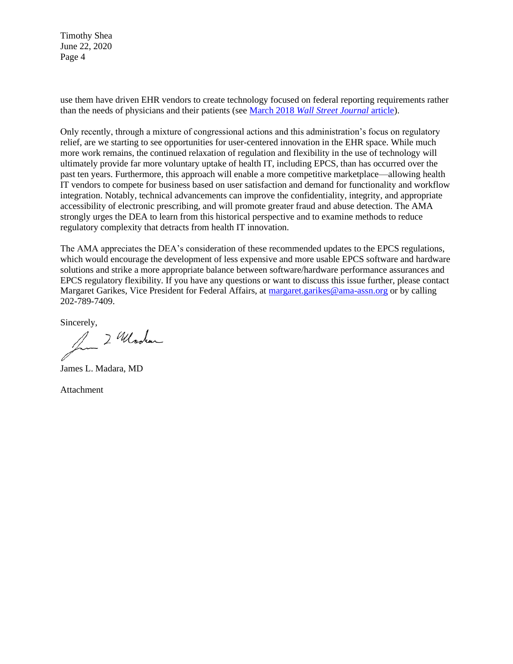Timothy Shea June 22, 2020 Page 4

use them have driven EHR vendors to create technology focused on federal reporting requirements rather than the needs of physicians and their patients (see March 2018 *[Wall Street Journal](https://www.wsj.com/articles/why-your-doctors-computer-is-so-clunky-1521585062?emailToken=30fee3cd85da8a84fd2c058ae86b1d77Mc9nTG6E%2B%2B%2B%2FCAkInST71fb%2B%2F3QTGSN%2Fw2rKI8OU%2Bt9Tsy2i3Bz3%2BLcjFAdWsMg6wVHir7h4K3ZuqETOZUY6Pnno7OQNaB0ktyymI%2FdODxY%3D)* article).

Only recently, through a mixture of congressional actions and this administration's focus on regulatory relief, are we starting to see opportunities for user-centered innovation in the EHR space. While much more work remains, the continued relaxation of regulation and flexibility in the use of technology will ultimately provide far more voluntary uptake of health IT, including EPCS, than has occurred over the past ten years. Furthermore, this approach will enable a more competitive marketplace—allowing health IT vendors to compete for business based on user satisfaction and demand for functionality and workflow integration. Notably, technical advancements can improve the confidentiality, integrity, and appropriate accessibility of electronic prescribing, and will promote greater fraud and abuse detection. The AMA strongly urges the DEA to learn from this historical perspective and to examine methods to reduce regulatory complexity that detracts from health IT innovation.

The AMA appreciates the DEA's consideration of these recommended updates to the EPCS regulations, which would encourage the development of less expensive and more usable EPCS software and hardware solutions and strike a more appropriate balance between software/hardware performance assurances and EPCS regulatory flexibility. If you have any questions or want to discuss this issue further, please contact Margaret Garikes, Vice President for Federal Affairs, at [margaret.garikes@ama-assn.org](mailto:margaret.garikes@ama-assn.org) or by calling 202-789-7409.

Sincerely,<br>2 Whooler

James L. Madara, MD

Attachment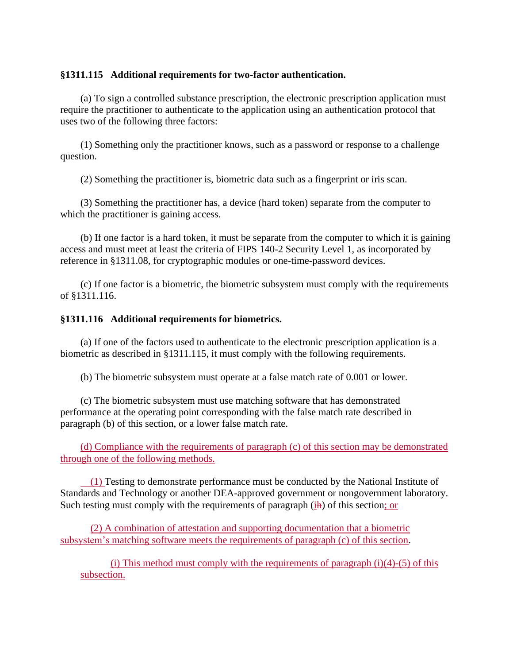## **§1311.115 Additional requirements for two-factor authentication.**

(a) To sign a controlled substance prescription, the electronic prescription application must require the practitioner to authenticate to the application using an authentication protocol that uses two of the following three factors:

(1) Something only the practitioner knows, such as a password or response to a challenge question.

(2) Something the practitioner is, biometric data such as a fingerprint or iris scan.

(3) Something the practitioner has, a device (hard token) separate from the computer to which the practitioner is gaining access.

(b) If one factor is a hard token, it must be separate from the computer to which it is gaining access and must meet at least the criteria of FIPS 140-2 Security Level 1, as incorporated by reference in §1311.08, for cryptographic modules or one-time-password devices.

(c) If one factor is a biometric, the biometric subsystem must comply with the requirements of §1311.116.

# **§1311.116 Additional requirements for biometrics.**

(a) If one of the factors used to authenticate to the electronic prescription application is a biometric as described in §1311.115, it must comply with the following requirements.

(b) The biometric subsystem must operate at a false match rate of 0.001 or lower.

(c) The biometric subsystem must use matching software that has demonstrated performance at the operating point corresponding with the false match rate described in paragraph (b) of this section, or a lower false match rate.

(d) Compliance with the requirements of paragraph (c) of this section may be demonstrated through one of the following methods.

(1) Testing to demonstrate performance must be conducted by the National Institute of Standards and Technology or another DEA-approved government or nongovernment laboratory. Such testing must comply with the requirements of paragraph (ih) of this section; or

(2) A combination of attestation and supporting documentation that a biometric subsystem's matching software meets the requirements of paragraph (c) of this section.

(i) This method must comply with the requirements of paragraph  $(i)(4)-(5)$  of this subsection.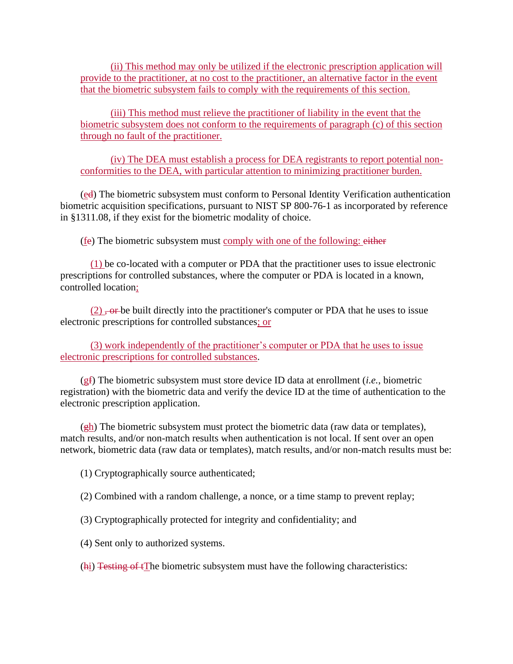(ii) This method may only be utilized if the electronic prescription application will provide to the practitioner, at no cost to the practitioner, an alternative factor in the event that the biometric subsystem fails to comply with the requirements of this section.

(iii) This method must relieve the practitioner of liability in the event that the biometric subsystem does not conform to the requirements of paragraph (c) of this section through no fault of the practitioner.

(iv) The DEA must establish a process for DEA registrants to report potential nonconformities to the DEA, with particular attention to minimizing practitioner burden.

(ed) The biometric subsystem must conform to Personal Identity Verification authentication biometric acquisition specifications, pursuant to NIST SP 800-76-1 as incorporated by reference in §1311.08, if they exist for the biometric modality of choice.

(fe) The biometric subsystem must comply with one of the following: either

(1) be co-located with a computer or PDA that the practitioner uses to issue electronic prescriptions for controlled substances, where the computer or PDA is located in a known, controlled location;

 $(2)$ ,  $\overline{\text{or}}$  be built directly into the practitioner's computer or PDA that he uses to issue electronic prescriptions for controlled substances; or

(3) work independently of the practitioner's computer or PDA that he uses to issue electronic prescriptions for controlled substances.

(gf) The biometric subsystem must store device ID data at enrollment (*i.e.*, biometric registration) with the biometric data and verify the device ID at the time of authentication to the electronic prescription application.

(gh) The biometric subsystem must protect the biometric data (raw data or templates), match results, and/or non-match results when authentication is not local. If sent over an open network, biometric data (raw data or templates), match results, and/or non-match results must be:

(1) Cryptographically source authenticated;

(2) Combined with a random challenge, a nonce, or a time stamp to prevent replay;

(3) Cryptographically protected for integrity and confidentiality; and

(4) Sent only to authorized systems.

(hi) Testing of tThe biometric subsystem must have the following characteristics: